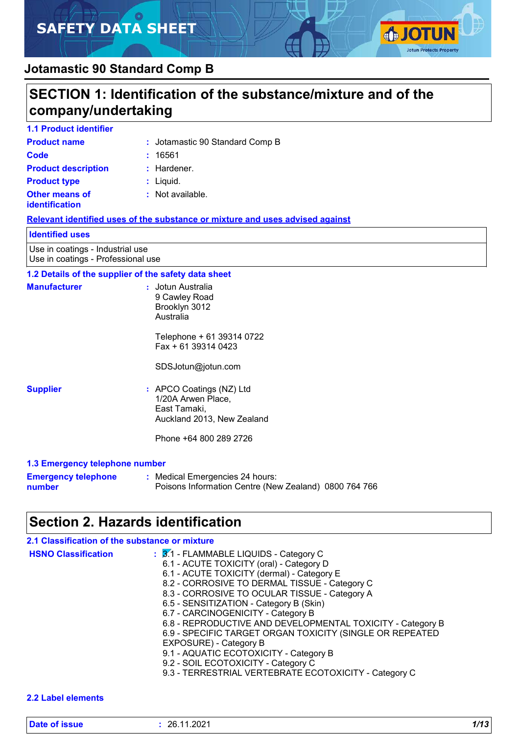# **SAFETY DATA SHEET**



## **Jotamastic 90 Standard Comp B**

# **SECTION 1: Identification of the substance/mixture and of the company/undertaking**

| <b>1.1 Product identifier</b>                  |                                 |
|------------------------------------------------|---------------------------------|
| <b>Product name</b>                            | : Jotamastic 90 Standard Comp B |
| Code                                           | 16561                           |
| <b>Product description</b>                     | $:$ Hardener.                   |
| <b>Product type</b>                            | $:$ Liquid.                     |
| <b>Other means of</b><br><i>identification</i> | $:$ Not available.              |

#### **Relevant identified uses of the substance or mixture and uses advised against**

#### **Identified uses**

Use in coatings - Industrial use Use in coatings - Professional use

### **1.2 Details of the supplier of the safety data sheet**

| <b>Manufacturer</b>            | : Jotun Australia<br>9 Cawley Road<br>Brooklyn 3012<br>Australia                             |
|--------------------------------|----------------------------------------------------------------------------------------------|
|                                | Telephone + 61 39314 0722<br>Fax + 61 39314 0423                                             |
|                                | SDSJotun@jotun.com                                                                           |
| <b>Supplier</b>                | : APCO Coatings (NZ) Ltd<br>1/20A Arwen Place,<br>East Tamaki,<br>Auckland 2013, New Zealand |
|                                | Phone +64 800 289 2726                                                                       |
| 1.2 Emergency telephone number |                                                                                              |

#### **1.3 Emergency telephone number**

| <b>Emergency telephone</b> | : Medical Emergencies 24 hours:                       |
|----------------------------|-------------------------------------------------------|
| number                     | Poisons Information Centre (New Zealand) 0800 764 766 |

## **Section 2. Hazards identification**

| 2.1 Classification of the substance or mixture |                                                                                                                                                                                                                                                                                                                                                                                                                                                                                                                                                                                                                   |
|------------------------------------------------|-------------------------------------------------------------------------------------------------------------------------------------------------------------------------------------------------------------------------------------------------------------------------------------------------------------------------------------------------------------------------------------------------------------------------------------------------------------------------------------------------------------------------------------------------------------------------------------------------------------------|
| <b>HSNO Classification</b>                     | : 3.1 - FLAMMABLE LIQUIDS - Category C<br>6.1 - ACUTE TOXICITY (oral) - Category D<br>6.1 - ACUTE TOXICITY (dermal) - Category E<br>8.2 - CORROSIVE TO DERMAL TISSUE - Category C<br>8.3 - CORROSIVE TO OCULAR TISSUE - Category A<br>6.5 - SENSITIZATION - Category B (Skin)<br>6.7 - CARCINOGENICITY - Category B<br>6.8 - REPRODUCTIVE AND DEVELOPMENTAL TOXICITY - Category B<br>6.9 - SPECIFIC TARGET ORGAN TOXICITY (SINGLE OR REPEATED<br>EXPOSURE) - Category B<br>9.1 - AQUATIC ECOTOXICITY - Category B<br>9.2 - SOIL ECOTOXICITY - Category C<br>9.3 - TERRESTRIAL VERTEBRATE ECOTOXICITY - Category C |
|                                                |                                                                                                                                                                                                                                                                                                                                                                                                                                                                                                                                                                                                                   |

#### **2.2 Label elements**

| Date of issue | .11.2021<br>າຂ<br>- | $\overline{A}$<br>11 I V |
|---------------|---------------------|--------------------------|
|               |                     |                          |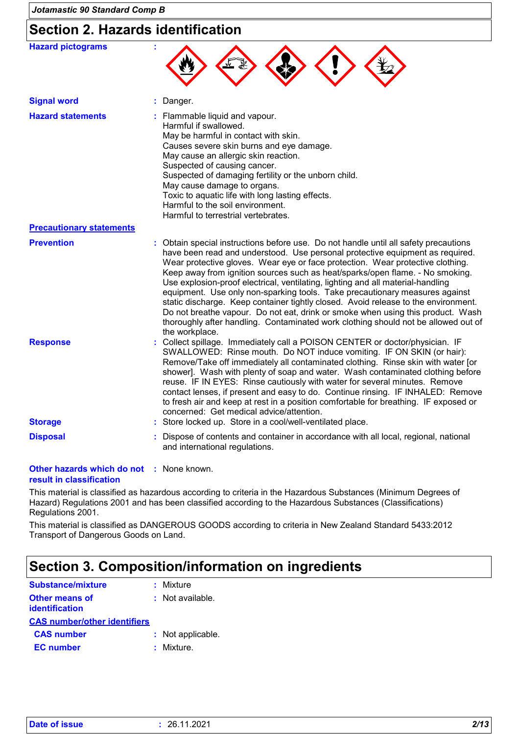# **Section 2. Hazards identification**

| <b>Hazard pictograms</b>        |                                                                                                                                                                                                                                                                                                                                                                                                                                                                                                                                                                                                                                                                                                                                                                                             |
|---------------------------------|---------------------------------------------------------------------------------------------------------------------------------------------------------------------------------------------------------------------------------------------------------------------------------------------------------------------------------------------------------------------------------------------------------------------------------------------------------------------------------------------------------------------------------------------------------------------------------------------------------------------------------------------------------------------------------------------------------------------------------------------------------------------------------------------|
| <b>Signal word</b>              | Danger.                                                                                                                                                                                                                                                                                                                                                                                                                                                                                                                                                                                                                                                                                                                                                                                     |
| <b>Hazard statements</b>        | : Flammable liquid and vapour.<br>Harmful if swallowed.<br>May be harmful in contact with skin.<br>Causes severe skin burns and eye damage.<br>May cause an allergic skin reaction.<br>Suspected of causing cancer.<br>Suspected of damaging fertility or the unborn child.<br>May cause damage to organs.<br>Toxic to aquatic life with long lasting effects.<br>Harmful to the soil environment.<br>Harmful to terrestrial vertebrates.                                                                                                                                                                                                                                                                                                                                                   |
| <b>Precautionary statements</b> |                                                                                                                                                                                                                                                                                                                                                                                                                                                                                                                                                                                                                                                                                                                                                                                             |
| <b>Prevention</b>               | : Obtain special instructions before use. Do not handle until all safety precautions<br>have been read and understood. Use personal protective equipment as required.<br>Wear protective gloves. Wear eye or face protection. Wear protective clothing.<br>Keep away from ignition sources such as heat/sparks/open flame. - No smoking.<br>Use explosion-proof electrical, ventilating, lighting and all material-handling<br>equipment. Use only non-sparking tools. Take precautionary measures against<br>static discharge. Keep container tightly closed. Avoid release to the environment.<br>Do not breathe vapour. Do not eat, drink or smoke when using this product. Wash<br>thoroughly after handling. Contaminated work clothing should not be allowed out of<br>the workplace. |
| <b>Response</b>                 | : Collect spillage. Immediately call a POISON CENTER or doctor/physician. IF<br>SWALLOWED: Rinse mouth. Do NOT induce vomiting. IF ON SKIN (or hair):<br>Remove/Take off immediately all contaminated clothing. Rinse skin with water [or<br>shower]. Wash with plenty of soap and water. Wash contaminated clothing before<br>reuse. IF IN EYES: Rinse cautiously with water for several minutes. Remove<br>contact lenses, if present and easy to do. Continue rinsing. IF INHALED: Remove<br>to fresh air and keep at rest in a position comfortable for breathing. IF exposed or<br>concerned: Get medical advice/attention.                                                                                                                                                            |
| <b>Storage</b>                  | : Store locked up. Store in a cool/well-ventilated place.                                                                                                                                                                                                                                                                                                                                                                                                                                                                                                                                                                                                                                                                                                                                   |
| <b>Disposal</b>                 | Dispose of contents and container in accordance with all local, regional, national<br>and international regulations.                                                                                                                                                                                                                                                                                                                                                                                                                                                                                                                                                                                                                                                                        |

#### **Other hazards which do not :** None known. **result in classification**

This material is classified as hazardous according to criteria in the Hazardous Substances (Minimum Degrees of Hazard) Regulations 2001 and has been classified according to the Hazardous Substances (Classifications) Regulations 2001.

This material is classified as DANGEROUS GOODS according to criteria in New Zealand Standard 5433:2012 Transport of Dangerous Goods on Land.

# **Section 3. Composition/information on ingredients**

| <b>Substance/mixture</b>                |  | : Mixture          |
|-----------------------------------------|--|--------------------|
| Other means of<br><b>identification</b> |  | $:$ Not available. |
| <b>CAS number/other identifiers</b>     |  |                    |
| <b>CAS number</b>                       |  | : Not applicable.  |
| <b>EC</b> number                        |  | : Mixture.         |
|                                         |  |                    |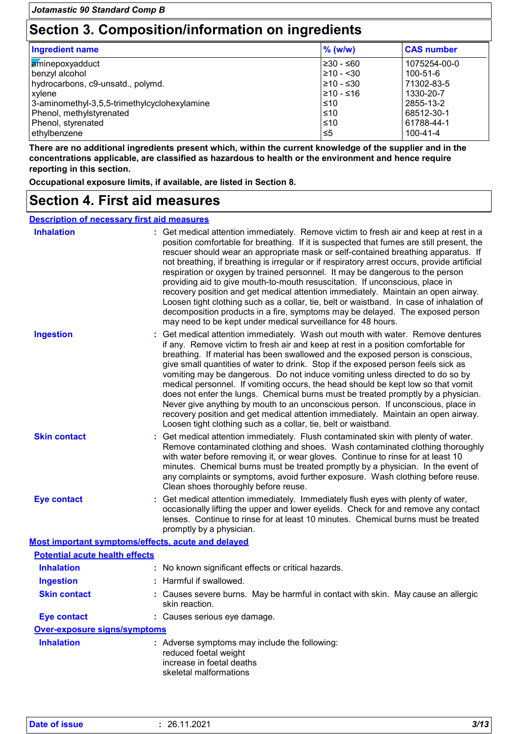# **Section 3. Composition/information on ingredients**

| Ingredient name                              | $%$ (w/w)      | <b>CAS number</b> |
|----------------------------------------------|----------------|-------------------|
| aminepoxyadduct                              | $\geq 30 - 60$ | 1075254-00-0      |
| benzyl alcohol                               | $\geq 10 - 30$ | 100-51-6          |
| hydrocarbons, c9-unsatd., polymd.            | 210 - ≤30      | 71302-83-5        |
| xylene                                       | 1≥10 - ≤16     | 1330-20-7         |
| 3-aminomethyl-3,5,5-trimethylcyclohexylamine | ≤10            | 2855-13-2         |
| Phenol, methylstyrenated                     | l≤10           | 68512-30-1        |
| Phenol, styrenated                           | l≤10           | 61788-44-1        |
| ethylbenzene                                 | ≤5             | $100 - 41 - 4$    |

**There are no additional ingredients present which, within the current knowledge of the supplier and in the concentrations applicable, are classified as hazardous to health or the environment and hence require reporting in this section.**

**Occupational exposure limits, if available, are listed in Section 8.**

## **Section 4. First aid measures**

| <b>Description of necessary first aid measures</b> |
|----------------------------------------------------|
|----------------------------------------------------|

| <b>Inhalation</b>                                  | Get medical attention immediately. Remove victim to fresh air and keep at rest in a<br>position comfortable for breathing. If it is suspected that fumes are still present, the<br>rescuer should wear an appropriate mask or self-contained breathing apparatus. If<br>not breathing, if breathing is irregular or if respiratory arrest occurs, provide artificial<br>respiration or oxygen by trained personnel. It may be dangerous to the person<br>providing aid to give mouth-to-mouth resuscitation. If unconscious, place in<br>recovery position and get medical attention immediately. Maintain an open airway.<br>Loosen tight clothing such as a collar, tie, belt or waistband. In case of inhalation of<br>decomposition products in a fire, symptoms may be delayed. The exposed person<br>may need to be kept under medical surveillance for 48 hours. |
|----------------------------------------------------|-------------------------------------------------------------------------------------------------------------------------------------------------------------------------------------------------------------------------------------------------------------------------------------------------------------------------------------------------------------------------------------------------------------------------------------------------------------------------------------------------------------------------------------------------------------------------------------------------------------------------------------------------------------------------------------------------------------------------------------------------------------------------------------------------------------------------------------------------------------------------|
| <b>Ingestion</b>                                   | Get medical attention immediately. Wash out mouth with water. Remove dentures<br>if any. Remove victim to fresh air and keep at rest in a position comfortable for<br>breathing. If material has been swallowed and the exposed person is conscious,<br>give small quantities of water to drink. Stop if the exposed person feels sick as<br>vomiting may be dangerous. Do not induce vomiting unless directed to do so by<br>medical personnel. If vomiting occurs, the head should be kept low so that vomit<br>does not enter the lungs. Chemical burns must be treated promptly by a physician.<br>Never give anything by mouth to an unconscious person. If unconscious, place in<br>recovery position and get medical attention immediately. Maintain an open airway.<br>Loosen tight clothing such as a collar, tie, belt or waistband.                          |
| <b>Skin contact</b>                                | Get medical attention immediately. Flush contaminated skin with plenty of water.<br>Remove contaminated clothing and shoes. Wash contaminated clothing thoroughly<br>with water before removing it, or wear gloves. Continue to rinse for at least 10<br>minutes. Chemical burns must be treated promptly by a physician. In the event of<br>any complaints or symptoms, avoid further exposure. Wash clothing before reuse.<br>Clean shoes thoroughly before reuse.                                                                                                                                                                                                                                                                                                                                                                                                    |
| <b>Eye contact</b>                                 | : Get medical attention immediately. Immediately flush eyes with plenty of water,<br>occasionally lifting the upper and lower eyelids. Check for and remove any contact<br>lenses. Continue to rinse for at least 10 minutes. Chemical burns must be treated<br>promptly by a physician.                                                                                                                                                                                                                                                                                                                                                                                                                                                                                                                                                                                |
| Most important symptoms/effects, acute and delayed |                                                                                                                                                                                                                                                                                                                                                                                                                                                                                                                                                                                                                                                                                                                                                                                                                                                                         |
| <b>Potential acute health effects</b>              |                                                                                                                                                                                                                                                                                                                                                                                                                                                                                                                                                                                                                                                                                                                                                                                                                                                                         |
| <b>Inhalation</b>                                  | : No known significant effects or critical hazards.                                                                                                                                                                                                                                                                                                                                                                                                                                                                                                                                                                                                                                                                                                                                                                                                                     |
| <b>Ingestion</b>                                   | : Harmful if swallowed.                                                                                                                                                                                                                                                                                                                                                                                                                                                                                                                                                                                                                                                                                                                                                                                                                                                 |
| <b>Skin contact</b>                                | : Causes severe burns. May be harmful in contact with skin. May cause an allergic<br>skin reaction.                                                                                                                                                                                                                                                                                                                                                                                                                                                                                                                                                                                                                                                                                                                                                                     |
| <b>Eye contact</b>                                 | : Causes serious eye damage.                                                                                                                                                                                                                                                                                                                                                                                                                                                                                                                                                                                                                                                                                                                                                                                                                                            |
| <b>Over-exposure signs/symptoms</b>                |                                                                                                                                                                                                                                                                                                                                                                                                                                                                                                                                                                                                                                                                                                                                                                                                                                                                         |
| <b>Inhalation</b>                                  | : Adverse symptoms may include the following:<br>reduced foetal weight<br>increase in foetal deaths<br>skeletal malformations                                                                                                                                                                                                                                                                                                                                                                                                                                                                                                                                                                                                                                                                                                                                           |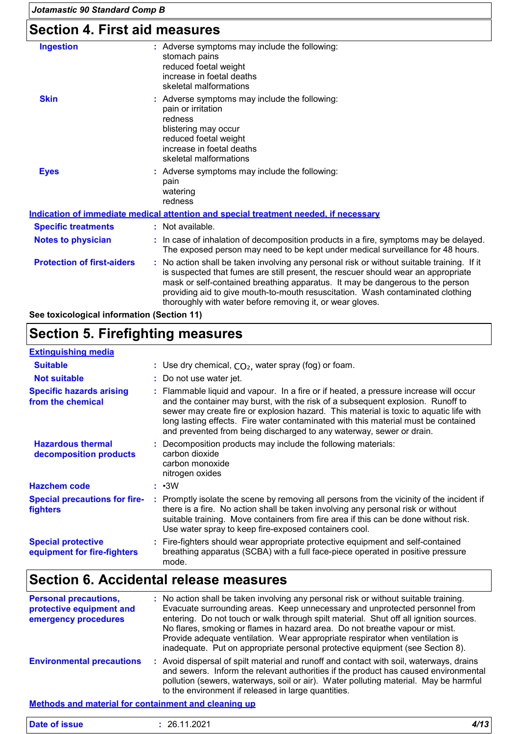# **Section 4. First aid measures**

| : Adverse symptoms may include the following:<br>stomach pains<br>reduced foetal weight<br>increase in foetal deaths<br>skeletal malformations                                                                                                                                                                                                                                                                  |
|-----------------------------------------------------------------------------------------------------------------------------------------------------------------------------------------------------------------------------------------------------------------------------------------------------------------------------------------------------------------------------------------------------------------|
| : Adverse symptoms may include the following:<br>pain or irritation<br>redness<br>blistering may occur<br>reduced foetal weight<br>increase in foetal deaths<br>skeletal malformations                                                                                                                                                                                                                          |
| : Adverse symptoms may include the following:<br>pain<br>watering<br>redness                                                                                                                                                                                                                                                                                                                                    |
| Indication of immediate medical attention and special treatment needed, if necessary                                                                                                                                                                                                                                                                                                                            |
| : Not available.                                                                                                                                                                                                                                                                                                                                                                                                |
| : In case of inhalation of decomposition products in a fire, symptoms may be delayed.<br>The exposed person may need to be kept under medical surveillance for 48 hours.                                                                                                                                                                                                                                        |
| : No action shall be taken involving any personal risk or without suitable training. If it<br>is suspected that fumes are still present, the rescuer should wear an appropriate<br>mask or self-contained breathing apparatus. It may be dangerous to the person<br>providing aid to give mouth-to-mouth resuscitation. Wash contaminated clothing<br>thoroughly with water before removing it, or wear gloves. |
|                                                                                                                                                                                                                                                                                                                                                                                                                 |

**See toxicological information (Section 11)**

# **Section 5. Firefighting measures**

| <b>Extinguishing media</b>                               |                                                                                                                                                                                                                                                                                                                                                                                                                                  |
|----------------------------------------------------------|----------------------------------------------------------------------------------------------------------------------------------------------------------------------------------------------------------------------------------------------------------------------------------------------------------------------------------------------------------------------------------------------------------------------------------|
| <b>Suitable</b>                                          | : Use dry chemical, $CO2$ , water spray (fog) or foam.                                                                                                                                                                                                                                                                                                                                                                           |
| <b>Not suitable</b>                                      | : Do not use water jet.                                                                                                                                                                                                                                                                                                                                                                                                          |
| <b>Specific hazards arising</b><br>from the chemical     | : Flammable liquid and vapour. In a fire or if heated, a pressure increase will occur<br>and the container may burst, with the risk of a subsequent explosion. Runoff to<br>sewer may create fire or explosion hazard. This material is toxic to aquatic life with<br>long lasting effects. Fire water contaminated with this material must be contained<br>and prevented from being discharged to any waterway, sewer or drain. |
| <b>Hazardous thermal</b><br>decomposition products       | : Decomposition products may include the following materials:<br>carbon dioxide<br>carbon monoxide<br>nitrogen oxides                                                                                                                                                                                                                                                                                                            |
| <b>Hazchem code</b>                                      | $: \cdot 3W$                                                                                                                                                                                                                                                                                                                                                                                                                     |
| <b>Special precautions for fire-</b><br>fighters         | : Promptly isolate the scene by removing all persons from the vicinity of the incident if<br>there is a fire. No action shall be taken involving any personal risk or without<br>suitable training. Move containers from fire area if this can be done without risk.<br>Use water spray to keep fire-exposed containers cool.                                                                                                    |
| <b>Special protective</b><br>equipment for fire-fighters | : Fire-fighters should wear appropriate protective equipment and self-contained<br>breathing apparatus (SCBA) with a full face-piece operated in positive pressure<br>mode.                                                                                                                                                                                                                                                      |

## **Section 6. Accidental release measures**

| <b>Personal precautions,</b><br>protective equipment and<br>emergency procedures | : No action shall be taken involving any personal risk or without suitable training.<br>Evacuate surrounding areas. Keep unnecessary and unprotected personnel from<br>entering. Do not touch or walk through spilt material. Shut off all ignition sources.<br>No flares, smoking or flames in hazard area. Do not breathe vapour or mist.<br>Provide adequate ventilation. Wear appropriate respirator when ventilation is<br>inadequate. Put on appropriate personal protective equipment (see Section 8). |
|----------------------------------------------------------------------------------|---------------------------------------------------------------------------------------------------------------------------------------------------------------------------------------------------------------------------------------------------------------------------------------------------------------------------------------------------------------------------------------------------------------------------------------------------------------------------------------------------------------|
| <b>Environmental precautions</b>                                                 | : Avoid dispersal of spilt material and runoff and contact with soil, waterways, drains<br>and sewers. Inform the relevant authorities if the product has caused environmental<br>pollution (sewers, waterways, soil or air). Water polluting material. May be harmful<br>to the environment if released in large quantities.                                                                                                                                                                                 |

#### **Methods and material for containment and cleaning up**

| <b>Date of issue</b> | 26.11.2021 | A/4<br>ט ויי |
|----------------------|------------|--------------|
|                      |            |              |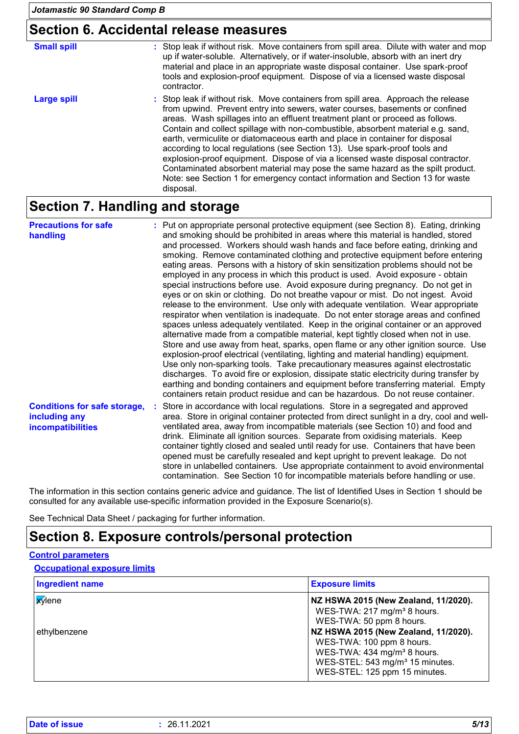## **Section 6. Accidental release measures**

| <b>Small spill</b> | : Stop leak if without risk. Move containers from spill area. Dilute with water and mop<br>up if water-soluble. Alternatively, or if water-insoluble, absorb with an inert dry<br>material and place in an appropriate waste disposal container. Use spark-proof<br>tools and explosion-proof equipment. Dispose of via a licensed waste disposal<br>contractor.                                                                                                                                                                                                                                                                                                                                                                                                          |
|--------------------|---------------------------------------------------------------------------------------------------------------------------------------------------------------------------------------------------------------------------------------------------------------------------------------------------------------------------------------------------------------------------------------------------------------------------------------------------------------------------------------------------------------------------------------------------------------------------------------------------------------------------------------------------------------------------------------------------------------------------------------------------------------------------|
| Large spill        | : Stop leak if without risk. Move containers from spill area. Approach the release<br>from upwind. Prevent entry into sewers, water courses, basements or confined<br>areas. Wash spillages into an effluent treatment plant or proceed as follows.<br>Contain and collect spillage with non-combustible, absorbent material e.g. sand,<br>earth, vermiculite or diatomaceous earth and place in container for disposal<br>according to local regulations (see Section 13). Use spark-proof tools and<br>explosion-proof equipment. Dispose of via a licensed waste disposal contractor.<br>Contaminated absorbent material may pose the same hazard as the spilt product.<br>Note: see Section 1 for emergency contact information and Section 13 for waste<br>disposal. |

## **Section 7. Handling and storage**

| <b>Precautions for safe</b><br>handling                                          | : Put on appropriate personal protective equipment (see Section 8). Eating, drinking<br>and smoking should be prohibited in areas where this material is handled, stored<br>and processed. Workers should wash hands and face before eating, drinking and<br>smoking. Remove contaminated clothing and protective equipment before entering<br>eating areas. Persons with a history of skin sensitization problems should not be<br>employed in any process in which this product is used. Avoid exposure - obtain<br>special instructions before use. Avoid exposure during pregnancy. Do not get in<br>eyes or on skin or clothing. Do not breathe vapour or mist. Do not ingest. Avoid<br>release to the environment. Use only with adequate ventilation. Wear appropriate<br>respirator when ventilation is inadequate. Do not enter storage areas and confined<br>spaces unless adequately ventilated. Keep in the original container or an approved<br>alternative made from a compatible material, kept tightly closed when not in use.<br>Store and use away from heat, sparks, open flame or any other ignition source. Use<br>explosion-proof electrical (ventilating, lighting and material handling) equipment.<br>Use only non-sparking tools. Take precautionary measures against electrostatic<br>discharges. To avoid fire or explosion, dissipate static electricity during transfer by<br>earthing and bonding containers and equipment before transferring material. Empty<br>containers retain product residue and can be hazardous. Do not reuse container. |
|----------------------------------------------------------------------------------|----------------------------------------------------------------------------------------------------------------------------------------------------------------------------------------------------------------------------------------------------------------------------------------------------------------------------------------------------------------------------------------------------------------------------------------------------------------------------------------------------------------------------------------------------------------------------------------------------------------------------------------------------------------------------------------------------------------------------------------------------------------------------------------------------------------------------------------------------------------------------------------------------------------------------------------------------------------------------------------------------------------------------------------------------------------------------------------------------------------------------------------------------------------------------------------------------------------------------------------------------------------------------------------------------------------------------------------------------------------------------------------------------------------------------------------------------------------------------------------------------------------------------------------------------------------------------------|
| <b>Conditions for safe storage,</b><br>including any<br><b>incompatibilities</b> | Store in accordance with local regulations. Store in a segregated and approved<br>area. Store in original container protected from direct sunlight in a dry, cool and well-<br>ventilated area, away from incompatible materials (see Section 10) and food and<br>drink. Eliminate all ignition sources. Separate from oxidising materials. Keep<br>container tightly closed and sealed until ready for use. Containers that have been<br>opened must be carefully resealed and kept upright to prevent leakage. Do not<br>store in unlabelled containers. Use appropriate containment to avoid environmental<br>contamination. See Section 10 for incompatible materials before handling or use.                                                                                                                                                                                                                                                                                                                                                                                                                                                                                                                                                                                                                                                                                                                                                                                                                                                                                |

The information in this section contains generic advice and guidance. The list of Identified Uses in Section 1 should be consulted for any available use-specific information provided in the Exposure Scenario(s).

See Technical Data Sheet / packaging for further information.

## **Section 8. Exposure controls/personal protection**

#### **Control parameters**

#### **Occupational exposure limits**

| <b>Ingredient name</b> | <b>Exposure limits</b>                                                                                                                                                                       |
|------------------------|----------------------------------------------------------------------------------------------------------------------------------------------------------------------------------------------|
| <b>x</b> ylene         | NZ HSWA 2015 (New Zealand, 11/2020).<br>WES-TWA: 217 mg/m <sup>3</sup> 8 hours.<br>WES-TWA: 50 ppm 8 hours.                                                                                  |
| ethylbenzene           | NZ HSWA 2015 (New Zealand, 11/2020).<br>WES-TWA: 100 ppm 8 hours.<br>WES-TWA: 434 mg/m <sup>3</sup> 8 hours.<br>WES-STEL: 543 mg/m <sup>3</sup> 15 minutes.<br>WES-STEL: 125 ppm 15 minutes. |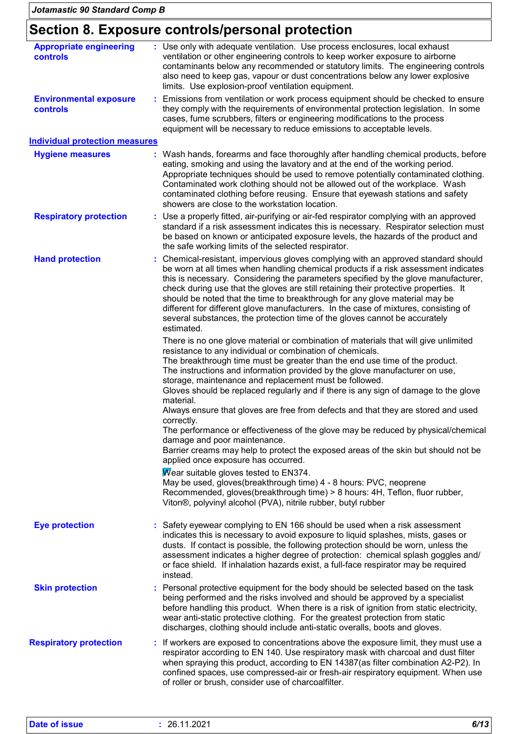## **Section 8. Exposure controls/personal protection**

| : Use only with adequate ventilation. Use process enclosures, local exhaust<br>ventilation or other engineering controls to keep worker exposure to airborne<br>contaminants below any recommended or statutory limits. The engineering controls<br>also need to keep gas, vapour or dust concentrations below any lower explosive<br>limits. Use explosion-proof ventilation equipment.                                                                                                                                                                                                                                |  |  |
|-------------------------------------------------------------------------------------------------------------------------------------------------------------------------------------------------------------------------------------------------------------------------------------------------------------------------------------------------------------------------------------------------------------------------------------------------------------------------------------------------------------------------------------------------------------------------------------------------------------------------|--|--|
| : Emissions from ventilation or work process equipment should be checked to ensure<br>they comply with the requirements of environmental protection legislation. In some<br>cases, fume scrubbers, filters or engineering modifications to the process<br>equipment will be necessary to reduce emissions to acceptable levels.                                                                                                                                                                                                                                                                                         |  |  |
| <b>Individual protection measures</b>                                                                                                                                                                                                                                                                                                                                                                                                                                                                                                                                                                                   |  |  |
| : Wash hands, forearms and face thoroughly after handling chemical products, before<br>eating, smoking and using the lavatory and at the end of the working period.<br>Appropriate techniques should be used to remove potentially contaminated clothing.<br>Contaminated work clothing should not be allowed out of the workplace. Wash<br>contaminated clothing before reusing. Ensure that eyewash stations and safety<br>showers are close to the workstation location.                                                                                                                                             |  |  |
| : Use a properly fitted, air-purifying or air-fed respirator complying with an approved<br>standard if a risk assessment indicates this is necessary. Respirator selection must<br>be based on known or anticipated exposure levels, the hazards of the product and<br>the safe working limits of the selected respirator.                                                                                                                                                                                                                                                                                              |  |  |
| Chemical-resistant, impervious gloves complying with an approved standard should<br>be worn at all times when handling chemical products if a risk assessment indicates<br>this is necessary. Considering the parameters specified by the glove manufacturer,<br>check during use that the gloves are still retaining their protective properties. It<br>should be noted that the time to breakthrough for any glove material may be<br>different for different glove manufacturers. In the case of mixtures, consisting of<br>several substances, the protection time of the gloves cannot be accurately<br>estimated. |  |  |
| There is no one glove material or combination of materials that will give unlimited<br>resistance to any individual or combination of chemicals.<br>The breakthrough time must be greater than the end use time of the product.<br>The instructions and information provided by the glove manufacturer on use,<br>storage, maintenance and replacement must be followed.<br>Gloves should be replaced regularly and if there is any sign of damage to the glove                                                                                                                                                         |  |  |
| material.<br>Always ensure that gloves are free from defects and that they are stored and used<br>correctly.<br>The performance or effectiveness of the glove may be reduced by physical/chemical<br>damage and poor maintenance.<br>Barrier creams may help to protect the exposed areas of the skin but should not be<br>applied once exposure has occurred.                                                                                                                                                                                                                                                          |  |  |
| Wear suitable gloves tested to EN374.<br>May be used, gloves(breakthrough time) 4 - 8 hours: PVC, neoprene<br>Recommended, gloves(breakthrough time) > 8 hours: 4H, Teflon, fluor rubber,<br>Viton®, polyvinyl alcohol (PVA), nitrile rubber, butyl rubber                                                                                                                                                                                                                                                                                                                                                              |  |  |
| : Safety eyewear complying to EN 166 should be used when a risk assessment<br>indicates this is necessary to avoid exposure to liquid splashes, mists, gases or<br>dusts. If contact is possible, the following protection should be worn, unless the<br>assessment indicates a higher degree of protection: chemical splash goggles and/<br>or face shield. If inhalation hazards exist, a full-face respirator may be required<br>instead.                                                                                                                                                                            |  |  |
| : Personal protective equipment for the body should be selected based on the task<br>being performed and the risks involved and should be approved by a specialist<br>before handling this product. When there is a risk of ignition from static electricity,<br>wear anti-static protective clothing. For the greatest protection from static<br>discharges, clothing should include anti-static overalls, boots and gloves.                                                                                                                                                                                           |  |  |
| : If workers are exposed to concentrations above the exposure limit, they must use a<br>respirator according to EN 140. Use respiratory mask with charcoal and dust filter<br>when spraying this product, according to EN 14387(as filter combination A2-P2). In<br>confined spaces, use compressed-air or fresh-air respiratory equipment. When use<br>of roller or brush, consider use of charcoalfilter.                                                                                                                                                                                                             |  |  |
|                                                                                                                                                                                                                                                                                                                                                                                                                                                                                                                                                                                                                         |  |  |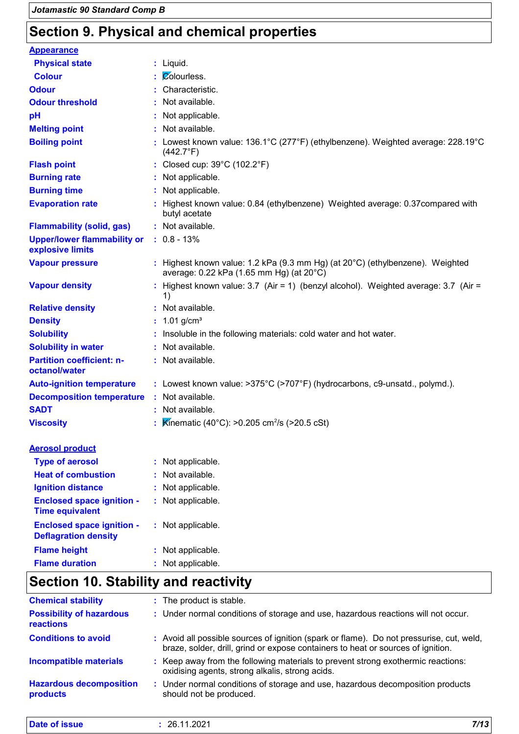# **Section 9. Physical and chemical properties**

| <b>Appearance</b>                                               |                                                                                                                                        |
|-----------------------------------------------------------------|----------------------------------------------------------------------------------------------------------------------------------------|
| <b>Physical state</b>                                           | : Liquid.                                                                                                                              |
| <b>Colour</b>                                                   | : Colourless.                                                                                                                          |
| <b>Odour</b>                                                    | : Characteristic.                                                                                                                      |
| <b>Odour threshold</b>                                          | : Not available.                                                                                                                       |
| рH                                                              | : Not applicable.                                                                                                                      |
| <b>Melting point</b>                                            | : Not available.                                                                                                                       |
| <b>Boiling point</b>                                            | : Lowest known value: $136.1^{\circ}$ C (277 $^{\circ}$ F) (ethylbenzene). Weighted average: 228.19 $^{\circ}$ C<br>$(442.7^{\circ}F)$ |
| <b>Flash point</b>                                              | : Closed cup: 39°C (102.2°F)                                                                                                           |
| <b>Burning rate</b>                                             | : Not applicable.                                                                                                                      |
| <b>Burning time</b>                                             | : Not applicable.                                                                                                                      |
| <b>Evaporation rate</b>                                         | : Highest known value: 0.84 (ethylbenzene) Weighted average: 0.37 compared with<br>butyl acetate                                       |
| <b>Flammability (solid, gas)</b>                                | : Not available.                                                                                                                       |
| <b>Upper/lower flammability or</b><br>explosive limits          | $: 0.8 - 13%$                                                                                                                          |
| <b>Vapour pressure</b>                                          | : Highest known value: 1.2 kPa (9.3 mm Hg) (at $20^{\circ}$ C) (ethylbenzene). Weighted<br>average: 0.22 kPa (1.65 mm Hg) (at 20°C)    |
| <b>Vapour density</b>                                           | : Highest known value: $3.7$ (Air = 1) (benzyl alcohol). Weighted average: $3.7$ (Air =<br>1)                                          |
| <b>Relative density</b>                                         | : Not available.                                                                                                                       |
| <b>Density</b>                                                  | : $1.01$ g/cm <sup>3</sup>                                                                                                             |
| <b>Solubility</b>                                               | : Insoluble in the following materials: cold water and hot water.                                                                      |
| <b>Solubility in water</b>                                      | : Not available.                                                                                                                       |
| <b>Partition coefficient: n-</b><br>octanol/water               | : Not available.                                                                                                                       |
| <b>Auto-ignition temperature</b>                                | : Lowest known value: >375°C (>707°F) (hydrocarbons, c9-unsatd., polymd.).                                                             |
| <b>Decomposition temperature</b>                                | : Not available.                                                                                                                       |
| <b>SADT</b>                                                     | : Not available.                                                                                                                       |
| <b>Viscosity</b>                                                | <b>K</b> inematic (40°C): >0.205 cm <sup>2</sup> /s (>20.5 cSt)                                                                        |
| <b>Aerosol product</b>                                          |                                                                                                                                        |
| <b>Type of aerosol</b>                                          | : Not applicable.                                                                                                                      |
| <b>Heat of combustion</b>                                       | Not available.                                                                                                                         |
| <b>Ignition distance</b>                                        | Not applicable.                                                                                                                        |
| <b>Enclosed space ignition -</b><br><b>Time equivalent</b>      | : Not applicable.                                                                                                                      |
| <b>Enclosed space ignition -</b><br><b>Deflagration density</b> | : Not applicable.                                                                                                                      |
| <b>Flame height</b>                                             | Not applicable.                                                                                                                        |
| <b>Flame duration</b>                                           | Not applicable.                                                                                                                        |

# **Section 10. Stability and reactivity**

| : The product is stable.                                                                                                                                                     |
|------------------------------------------------------------------------------------------------------------------------------------------------------------------------------|
| : Under normal conditions of storage and use, hazardous reactions will not occur.                                                                                            |
| : Avoid all possible sources of ignition (spark or flame). Do not pressurise, cut, weld,<br>braze, solder, drill, grind or expose containers to heat or sources of ignition. |
| : Keep away from the following materials to prevent strong exothermic reactions:<br>oxidising agents, strong alkalis, strong acids.                                          |
| Under normal conditions of storage and use, hazardous decomposition products<br>should not be produced.                                                                      |
|                                                                                                                                                                              |

| <b>Date</b><br><b>issue</b><br>_____ | ാറാം<br>າຂ<br>. I I.ZUZ 1<br>the contract of the contract of the contract of the contract of the contract of the contract of the contract of | 7/12<br>,,,,<br>$\sim$ |
|--------------------------------------|----------------------------------------------------------------------------------------------------------------------------------------------|------------------------|
|--------------------------------------|----------------------------------------------------------------------------------------------------------------------------------------------|------------------------|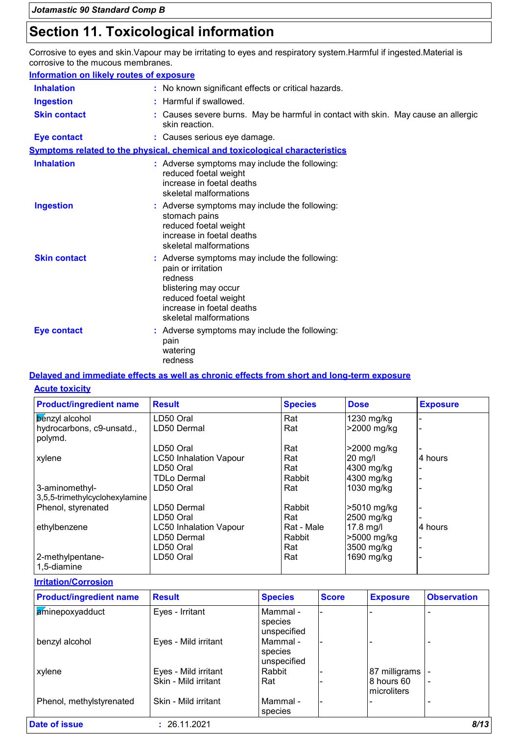# **Section 11. Toxicological information**

Corrosive to eyes and skin.Vapour may be irritating to eyes and respiratory system.Harmful if ingested.Material is corrosive to the mucous membranes.

| <b>Information on likely routes of exposure</b> |                                                                                                                                                                                        |
|-------------------------------------------------|----------------------------------------------------------------------------------------------------------------------------------------------------------------------------------------|
| <b>Inhalation</b>                               | : No known significant effects or critical hazards.                                                                                                                                    |
| <b>Ingestion</b>                                | : Harmful if swallowed.                                                                                                                                                                |
| <b>Skin contact</b>                             | : Causes severe burns. May be harmful in contact with skin. May cause an allergic<br>skin reaction.                                                                                    |
| <b>Eye contact</b>                              | : Causes serious eye damage.                                                                                                                                                           |
|                                                 | <b>Symptoms related to the physical, chemical and toxicological characteristics</b>                                                                                                    |
| <b>Inhalation</b>                               | : Adverse symptoms may include the following:<br>reduced foetal weight<br>increase in foetal deaths<br>skeletal malformations                                                          |
| <b>Ingestion</b>                                | : Adverse symptoms may include the following:<br>stomach pains<br>reduced foetal weight<br>increase in foetal deaths<br>skeletal malformations                                         |
| <b>Skin contact</b>                             | : Adverse symptoms may include the following:<br>pain or irritation<br>redness<br>blistering may occur<br>reduced foetal weight<br>increase in foetal deaths<br>skeletal malformations |
| <b>Eye contact</b>                              | : Adverse symptoms may include the following:<br>pain<br>watering<br>redness                                                                                                           |

### **Delayed and immediate effects as well as chronic effects from short and long-term exposure**

#### **Acute toxicity**

| <b>Product/ingredient name</b>       | <b>Result</b>                 | <b>Species</b> | <b>Dose</b>       | <b>Exposure</b> |
|--------------------------------------|-------------------------------|----------------|-------------------|-----------------|
| <b>b</b> enzyl alcohol               | LD50 Oral                     | Rat            | 1230 mg/kg        |                 |
| hydrocarbons, c9-unsatd.,<br>polymd. | LD50 Dermal                   | Rat            | >2000 mg/kg       |                 |
|                                      | LD50 Oral                     | Rat            | >2000 mg/kg       |                 |
| xylene                               | <b>LC50 Inhalation Vapour</b> | Rat            | $20 \text{ mg/l}$ | 4 hours         |
|                                      | LD50 Oral                     | Rat            | 4300 mg/kg        |                 |
|                                      | TDLo Dermal                   | Rabbit         | 4300 mg/kg        |                 |
| 3-aminomethyl-                       | LD50 Oral                     | Rat            | 1030 mg/kg        |                 |
| 3,5,5-trimethylcyclohexylamine       |                               |                |                   |                 |
| Phenol, styrenated                   | LD50 Dermal                   | Rabbit         | >5010 mg/kg       |                 |
|                                      | LD50 Oral                     | Rat            | 2500 mg/kg        |                 |
| ethylbenzene                         | <b>LC50 Inhalation Vapour</b> | Rat - Male     | $17.8$ mg/l       | 4 hours         |
|                                      | LD50 Dermal                   | Rabbit         | >5000 mg/kg       |                 |
|                                      | LD50 Oral                     | Rat            | 3500 mg/kg        |                 |
| 2-methylpentane-<br>1,5-diamine      | LD50 Oral                     | Rat            | 1690 mg/kg        |                 |

#### **Irritation/Corrosion**

| <b>Product/ingredient name</b> | <b>Result</b>        | <b>Species</b>                     | <b>Score</b> | <b>Exposure</b>           | <b>Observation</b> |
|--------------------------------|----------------------|------------------------------------|--------------|---------------------------|--------------------|
| aminepoxyadduct                | Eyes - Irritant      | Mammal -<br>species<br>unspecified |              |                           |                    |
| benzyl alcohol                 | Eyes - Mild irritant | Mammal -<br>species<br>unspecified |              |                           |                    |
| xylene                         | Eyes - Mild irritant | Rabbit                             |              | 87 milligrams             |                    |
|                                | Skin - Mild irritant | Rat                                |              | 8 hours 60<br>microliters |                    |
| Phenol, methylstyrenated       | Skin - Mild irritant | Mammal -<br>species                |              |                           |                    |
| <b>Date of issue</b>           | : 26.11.2021         |                                    |              |                           | 8/13               |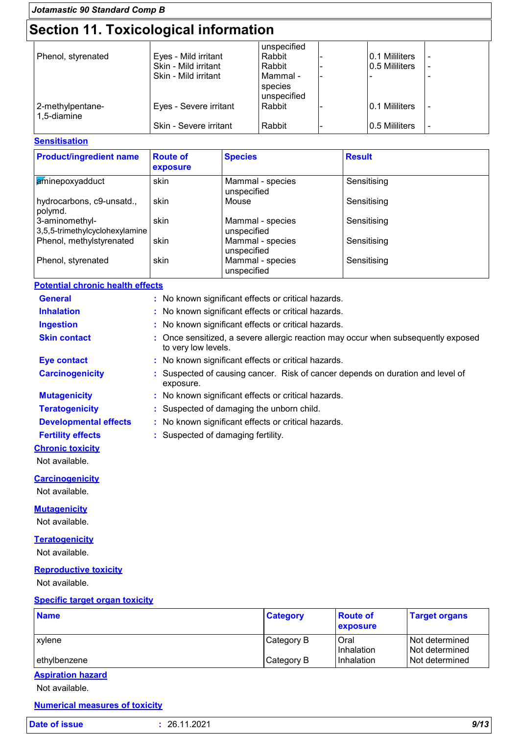| Jotamastic 90 Standard Comp B   |                                       |                                    |  |                |  |  |  |
|---------------------------------|---------------------------------------|------------------------------------|--|----------------|--|--|--|
|                                 | Section 11. Toxicological information |                                    |  |                |  |  |  |
|                                 |                                       | unspecified                        |  |                |  |  |  |
| Phenol, styrenated              | Eyes - Mild irritant                  | Rabbit                             |  | 0.1 Mililiters |  |  |  |
|                                 | Skin - Mild irritant                  | Rabbit                             |  | 0.5 Mililiters |  |  |  |
|                                 | Skin - Mild irritant                  | Mammal -<br>species<br>unspecified |  |                |  |  |  |
| 2-methylpentane-<br>1,5-diamine | Eyes - Severe irritant                | Rabbit                             |  | 0.1 Mililiters |  |  |  |
|                                 | Skin - Severe irritant                | Rabbit                             |  | 0.5 Mililiters |  |  |  |

#### **Sensitisation**

| <b>Product/ingredient name</b>                   | <b>Route of</b><br>exposure | <b>Species</b>                  | <b>Result</b> |
|--------------------------------------------------|-----------------------------|---------------------------------|---------------|
| aminepoxyadduct                                  | skin                        | Mammal - species<br>unspecified | Sensitising   |
| hydrocarbons, c9-unsatd.,<br>polymd.             | skin                        | Mouse                           | Sensitising   |
| 3-aminomethyl-<br>3,5,5-trimethylcyclohexylamine | skin                        | Mammal - species<br>unspecified | Sensitising   |
| Phenol, methylstyrenated                         | skin                        | Mammal - species<br>unspecified | Sensitising   |
| Phenol, styrenated                               | skin                        | Mammal - species<br>unspecified | Sensitising   |

### **Potential chronic health effects**

| <b>General</b>                          | : No known significant effects or critical hazards.                                                    |
|-----------------------------------------|--------------------------------------------------------------------------------------------------------|
| <b>Inhalation</b>                       | No known significant effects or critical hazards.                                                      |
| <b>Ingestion</b>                        | No known significant effects or critical hazards.                                                      |
| <b>Skin contact</b>                     | Once sensitized, a severe allergic reaction may occur when subsequently exposed<br>to very low levels. |
| <b>Eye contact</b>                      | : No known significant effects or critical hazards.                                                    |
| <b>Carcinogenicity</b>                  | Suspected of causing cancer. Risk of cancer depends on duration and level of<br>exposure.              |
| <b>Mutagenicity</b>                     | : No known significant effects or critical hazards.                                                    |
| <b>Teratogenicity</b>                   | : Suspected of damaging the unborn child.                                                              |
| <b>Developmental effects</b>            | : No known significant effects or critical hazards.                                                    |
| <b>Fertility effects</b>                | : Suspected of damaging fertility.                                                                     |
| <b>Chronic toxicity</b>                 |                                                                                                        |
| Not available.                          |                                                                                                        |
| <b>Carcinogenicity</b>                  |                                                                                                        |
| Not available.                          |                                                                                                        |
| <b>Mutagenicity</b>                     |                                                                                                        |
| Not available.                          |                                                                                                        |
| <b>Teratogenicity</b><br>Not available. |                                                                                                        |

## **Reproductive toxicity**

Not available.

## **Specific target organ toxicity**

| <b>Name</b>           | <b>Category</b> | <b>Route of</b><br><b>exposure</b> | <b>Target organs</b>             |
|-----------------------|-----------------|------------------------------------|----------------------------------|
| xvlene                | Category B      | Oral<br>Inhalation                 | Not determined                   |
| ethylbenzene          | Category B      | Inhalation                         | Not determined<br>Not determined |
| Assistination because |                 |                                    |                                  |

## **Aspiration hazard**

Not available.

### **Numerical measures of toxicity**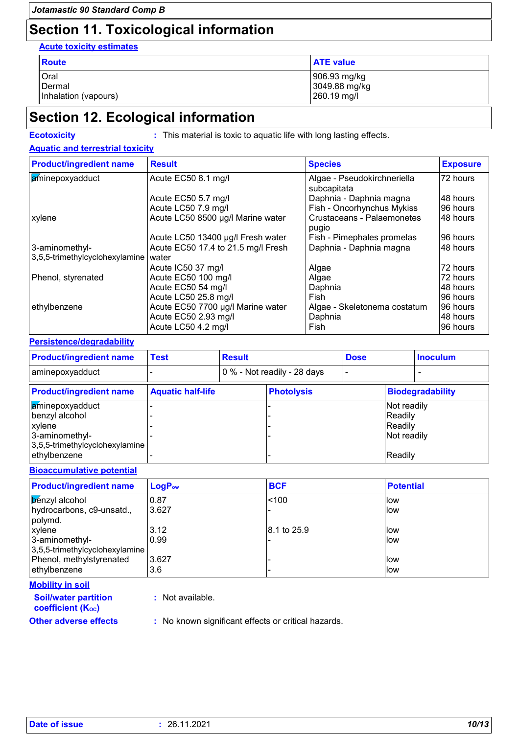# **Section 11. Toxicological information**

**Acute toxicity estimates**

| <b>Route</b>         | <b>ATE value</b>              |
|----------------------|-------------------------------|
| Oral<br>Dermal       | 906.93 mg/kg<br>3049.88 mg/kg |
| Inhalation (vapours) | 260.19 mg/l                   |

## **Section 12. Ecological information**

**Ecotoxicity :** This material is toxic to aquatic life with long lasting effects.

### **Aquatic and terrestrial toxicity**

| <b>Product/ingredient name</b> | <b>Result</b>                      | <b>Species</b>                             | <b>Exposure</b> |
|--------------------------------|------------------------------------|--------------------------------------------|-----------------|
| aminepoxyadduct                | Acute EC50 8.1 mg/l                | Algae - Pseudokirchneriella<br>subcapitata | 72 hours        |
|                                | Acute EC50 5.7 mg/l                | Daphnia - Daphnia magna                    | 48 hours        |
|                                | Acute LC50 7.9 mg/l                | Fish - Oncorhynchus Mykiss                 | 96 hours        |
| xylene                         | Acute LC50 8500 µg/l Marine water  | Crustaceans - Palaemonetes<br>pugio        | 48 hours        |
|                                | Acute LC50 13400 µg/l Fresh water  | Fish - Pimephales promelas                 | 96 hours        |
| 3-aminomethyl-                 | Acute EC50 17.4 to 21.5 mg/l Fresh | Daphnia - Daphnia magna                    | 48 hours        |
| 3,5,5-trimethylcyclohexylamine | water                              |                                            |                 |
|                                | Acute IC50 37 mg/l                 | Algae                                      | 72 hours        |
| Phenol, styrenated             | Acute EC50 100 mg/l                | Algae                                      | 72 hours        |
|                                | Acute EC50 54 mg/l                 | Daphnia                                    | I48 hours       |
|                                | Acute LC50 25.8 mg/l               | Fish                                       | 96 hours        |
| ethylbenzene                   | Acute EC50 7700 µg/l Marine water  | Algae - Skeletonema costatum               | 96 hours        |
|                                | Acute EC50 2.93 mg/l               | Daphnia                                    | I48 hours       |
|                                | Acute LC50 4.2 mg/l                | Fish                                       | 96 hours        |

#### **Persistence/degradability**

| <b>Product/ingredient name</b> | <b>Test</b>              | <b>Result</b> |                             | <b>Dose</b> |             | <b>Inoculum</b>         |
|--------------------------------|--------------------------|---------------|-----------------------------|-------------|-------------|-------------------------|
| aminepoxyadduct                |                          |               | 0 % - Not readily - 28 days |             |             |                         |
| <b>Product/ingredient name</b> | <b>Aquatic half-life</b> |               | <b>Photolysis</b>           |             |             | <b>Biodegradability</b> |
| <b>aminepoxyadduct</b>         |                          |               |                             |             | Not readily |                         |
| benzyl alcohol                 |                          |               |                             |             | Readily     |                         |
| xylene                         |                          |               |                             |             | Readily     |                         |
| 3-aminomethyl-                 |                          |               |                             |             | Not readily |                         |
| 3,5,5-trimethylcyclohexylamine |                          |               |                             |             |             |                         |
| ethylbenzene                   |                          |               |                             |             | Readily     |                         |

#### **Bioaccumulative potential**

| <b>Product/ingredient name</b> | LogP <sub>ow</sub> | <b>BCF</b>  | <b>Potential</b> |
|--------------------------------|--------------------|-------------|------------------|
| <b>B</b> enzyl alcohol         | 10.87              | < 100       | llow             |
| hydrocarbons, c9-unsatd.,      | 3.627              |             | llow             |
| polymd.                        |                    |             |                  |
| xylene                         | 3.12               | 8.1 to 25.9 | llow             |
| 3-aminomethyl-                 | 0.99               |             | llow             |
| 3,5,5-trimethylcyclohexylamine |                    |             |                  |
| Phenol, methylstyrenated       | 3.627              |             | llow             |
| ethylbenzene                   | 3.6                |             | llow             |

### **Mobility in soil**

| <b>Soil/water partition</b> |
|-----------------------------|
| <b>coefficient (Koc)</b>    |
| Other adverse effects       |

**:** Not available.

**Other adverse effects :** No known significant effects or critical hazards.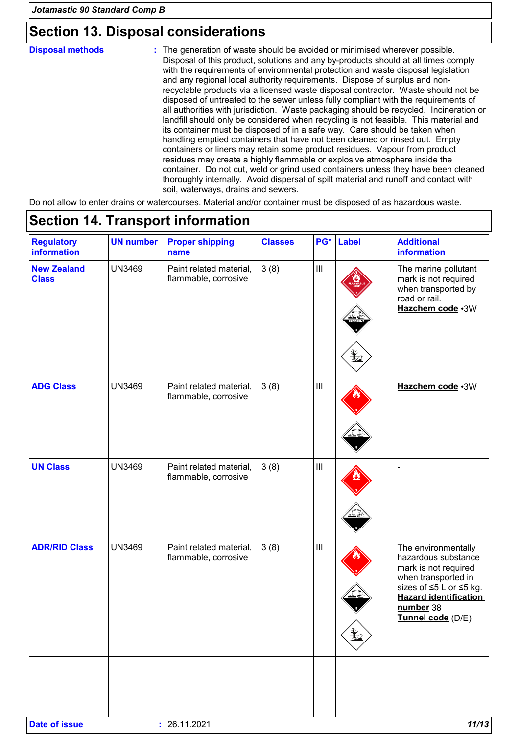## **Section 13. Disposal considerations**

The generation of waste should be avoided or minimised wherever possible. Disposal of this product, solutions and any by-products should at all times comply with the requirements of environmental protection and waste disposal legislation and any regional local authority requirements. Dispose of surplus and nonrecyclable products via a licensed waste disposal contractor. Waste should not be disposed of untreated to the sewer unless fully compliant with the requirements of all authorities with jurisdiction. Waste packaging should be recycled. Incineration or landfill should only be considered when recycling is not feasible. This material and its container must be disposed of in a safe way. Care should be taken when handling emptied containers that have not been cleaned or rinsed out. Empty containers or liners may retain some product residues. Vapour from product residues may create a highly flammable or explosive atmosphere inside the container. Do not cut, weld or grind used containers unless they have been cleaned thoroughly internally. Avoid dispersal of spilt material and runoff and contact with soil, waterways, drains and sewers. **Disposal methods :**

Do not allow to enter drains or watercourses. Material and/or container must be disposed of as hazardous waste.

| <b>Regulatory</b><br>information   | <b>UN number</b> | <b>Proper shipping</b><br>name                  | <b>Classes</b> | PG*                                | <b>Label</b> | <b>Additional</b><br>information                                                                                                                                                       |
|------------------------------------|------------------|-------------------------------------------------|----------------|------------------------------------|--------------|----------------------------------------------------------------------------------------------------------------------------------------------------------------------------------------|
| <b>New Zealand</b><br><b>Class</b> | <b>UN3469</b>    | Paint related material,<br>flammable, corrosive | 3(8)           | $\vert$ III                        | ť.           | The marine pollutant<br>mark is not required<br>when transported by<br>road or rail.<br>Hazchem code .3W                                                                               |
| <b>ADG Class</b>                   | <b>UN3469</b>    | Paint related material,<br>flammable, corrosive | 3(8)           | $\ensuremath{\mathsf{III}}\xspace$ |              | Hazchem code .3W                                                                                                                                                                       |
| <b>UN Class</b>                    | <b>UN3469</b>    | Paint related material,<br>flammable, corrosive | 3(8)           | $\ensuremath{\mathsf{III}}\xspace$ |              |                                                                                                                                                                                        |
| <b>ADR/RID Class</b>               | <b>UN3469</b>    | Paint related material,<br>flammable, corrosive | 3(8)           | $\ensuremath{\mathsf{III}}\xspace$ | q            | The environmentally<br>hazardous substance<br>mark is not required<br>when transported in<br>sizes of ≤5 L or ≤5 kg.<br><b>Hazard identification</b><br>number 38<br>Tunnel code (D/E) |
|                                    |                  |                                                 |                |                                    |              |                                                                                                                                                                                        |

# **Section 14. Transport information**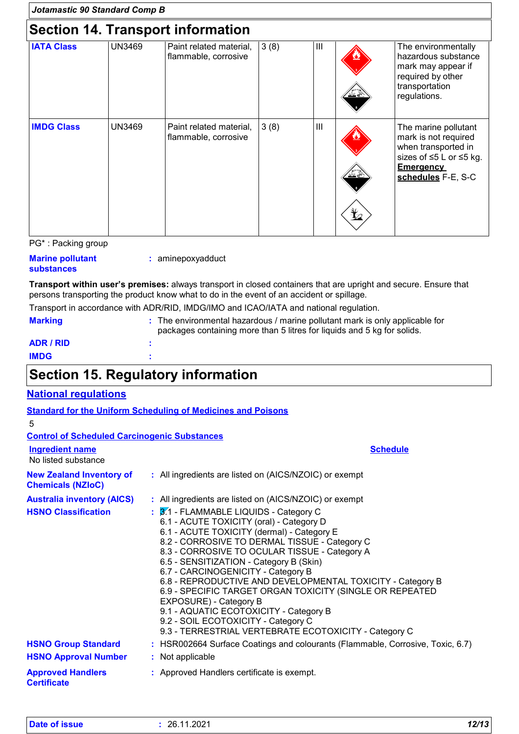| Jotamastic 90 Standard Comp B |               |                                                 |      |                |    |                                                                                                                                          |
|-------------------------------|---------------|-------------------------------------------------|------|----------------|----|------------------------------------------------------------------------------------------------------------------------------------------|
|                               |               | <b>Section 14. Transport information</b>        |      |                |    |                                                                                                                                          |
| <b>IATA Class</b>             | <b>UN3469</b> | Paint related material,<br>flammable, corrosive | 3(8) | $\mathbf{III}$ |    | The environmentally<br>hazardous substance<br>mark may appear if<br>required by other<br>transportation<br>regulations.                  |
| <b>IMDG Class</b>             | <b>UN3469</b> | Paint related material,<br>flammable, corrosive | 3(8) | Ш              | ⋭2 | The marine pollutant<br>mark is not required<br>when transported in<br>sizes of ≤5 L or ≤5 kg.<br><b>Emergency</b><br>schedules F-E, S-C |

PG\* : Packing group

## **Marine pollutant**

**:** aminepoxyadduct

## **substances**

**Transport within user's premises:** always transport in closed containers that are upright and secure. Ensure that persons transporting the product know what to do in the event of an accident or spillage.

Transport in accordance with ADR/RID, IMDG/IMO and ICAO/IATA and national regulation.

| <b>Marking</b>   | : The environmental hazardous / marine pollutant mark is only applicable for<br>packages containing more than 5 litres for liquids and 5 kg for solids. |
|------------------|---------------------------------------------------------------------------------------------------------------------------------------------------------|
| <b>ADR / RID</b> |                                                                                                                                                         |
| <b>IMDG</b>      |                                                                                                                                                         |

# **Section 15. Regulatory information**

## **National regulations**

|                                                                 | <b>Standard for the Uniform Scheduling of Medicines and Poisons</b>                                                                                                                                                                                                                                                                                                                                                                                                                                                                                                                                                                                                                     |
|-----------------------------------------------------------------|-----------------------------------------------------------------------------------------------------------------------------------------------------------------------------------------------------------------------------------------------------------------------------------------------------------------------------------------------------------------------------------------------------------------------------------------------------------------------------------------------------------------------------------------------------------------------------------------------------------------------------------------------------------------------------------------|
| 5                                                               |                                                                                                                                                                                                                                                                                                                                                                                                                                                                                                                                                                                                                                                                                         |
| <b>Control of Scheduled Carcinogenic Substances</b>             |                                                                                                                                                                                                                                                                                                                                                                                                                                                                                                                                                                                                                                                                                         |
| <b>Ingredient name</b><br>No listed substance                   | <b>Schedule</b>                                                                                                                                                                                                                                                                                                                                                                                                                                                                                                                                                                                                                                                                         |
| <b>New Zealand Inventory of</b><br><b>Chemicals (NZIoC)</b>     | : All ingredients are listed on (AICS/NZOIC) or exempt                                                                                                                                                                                                                                                                                                                                                                                                                                                                                                                                                                                                                                  |
| <b>Australia inventory (AICS)</b><br><b>HSNO Classification</b> | : All ingredients are listed on (AICS/NZOIC) or exempt<br>$\frac{1}{2}$ 3.1 - FLAMMABLE LIQUIDS - Category C<br>6.1 - ACUTE TOXICITY (oral) - Category D<br>6.1 - ACUTE TOXICITY (dermal) - Category E<br>8.2 - CORROSIVE TO DERMAL TISSUE - Category C<br>8.3 - CORROSIVE TO OCULAR TISSUE - Category A<br>6.5 - SENSITIZATION - Category B (Skin)<br>6.7 - CARCINOGENICITY - Category B<br>6.8 - REPRODUCTIVE AND DEVELOPMENTAL TOXICITY - Category B<br>6.9 - SPECIFIC TARGET ORGAN TOXICITY (SINGLE OR REPEATED<br>EXPOSURE) - Category B<br>9.1 - AQUATIC ECOTOXICITY - Category B<br>9.2 - SOIL ECOTOXICITY - Category C<br>9.3 - TERRESTRIAL VERTEBRATE ECOTOXICITY - Category C |
| <b>HSNO Group Standard</b>                                      | : HSR002664 Surface Coatings and colourants (Flammable, Corrosive, Toxic, 6.7)                                                                                                                                                                                                                                                                                                                                                                                                                                                                                                                                                                                                          |
| <b>HSNO Approval Number</b>                                     | : Not applicable                                                                                                                                                                                                                                                                                                                                                                                                                                                                                                                                                                                                                                                                        |
| <b>Approved Handlers</b><br><b>Certificate</b>                  | : Approved Handlers certificate is exempt.                                                                                                                                                                                                                                                                                                                                                                                                                                                                                                                                                                                                                                              |

| Date of issue |  |
|---------------|--|
|               |  |